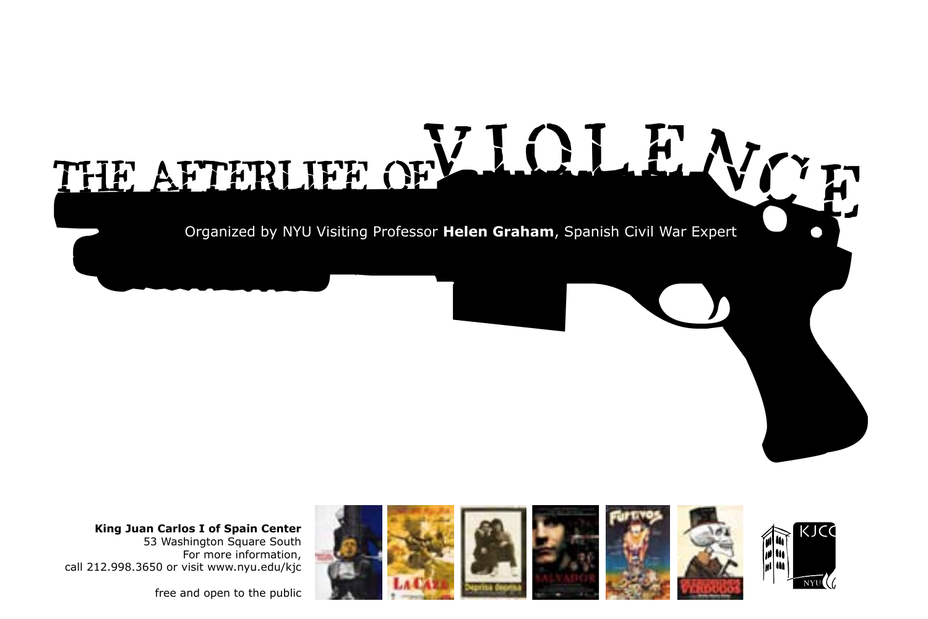



free and open to the public